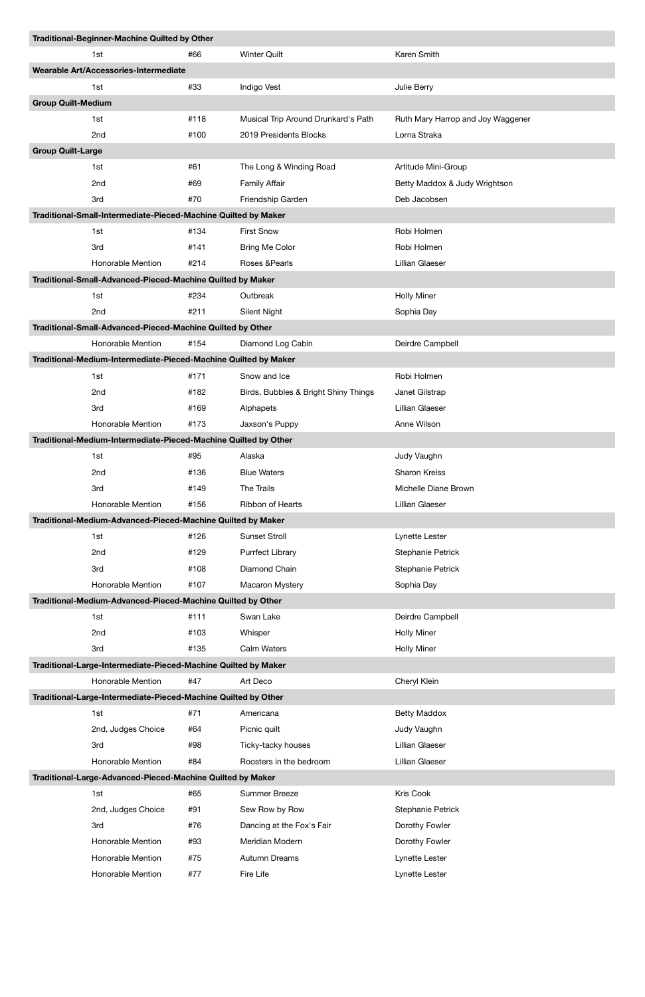|                                                            | Traditional-Beginner-Machine Quilted by Other                   |      |                                      |                                   |  |  |  |  |
|------------------------------------------------------------|-----------------------------------------------------------------|------|--------------------------------------|-----------------------------------|--|--|--|--|
|                                                            | 1st                                                             | #66  | <b>Winter Quilt</b>                  | Karen Smith                       |  |  |  |  |
|                                                            | Wearable Art/Accessories-Intermediate                           |      |                                      |                                   |  |  |  |  |
|                                                            | 1st                                                             | #33  | Indigo Vest                          | Julie Berry                       |  |  |  |  |
| <b>Group Quilt-Medium</b>                                  |                                                                 |      |                                      |                                   |  |  |  |  |
|                                                            | 1st                                                             | #118 | Musical Trip Around Drunkard's Path  | Ruth Mary Harrop and Joy Waggener |  |  |  |  |
|                                                            | 2nd                                                             | #100 | 2019 Presidents Blocks               | Lorna Straka                      |  |  |  |  |
| <b>Group Quilt-Large</b>                                   |                                                                 |      |                                      |                                   |  |  |  |  |
|                                                            | 1st                                                             | #61  | The Long & Winding Road              | Artitude Mini-Group               |  |  |  |  |
|                                                            | 2nd                                                             | #69  | <b>Family Affair</b>                 | Betty Maddox & Judy Wrightson     |  |  |  |  |
|                                                            | 3rd                                                             | #70  | Friendship Garden                    | Deb Jacobsen                      |  |  |  |  |
|                                                            | Traditional-Small-Intermediate-Pieced-Machine Quilted by Maker  |      |                                      |                                   |  |  |  |  |
|                                                            | 1st                                                             | #134 | <b>First Snow</b>                    | Robi Holmen                       |  |  |  |  |
|                                                            | 3rd                                                             | #141 | <b>Bring Me Color</b>                | Robi Holmen                       |  |  |  |  |
|                                                            | Honorable Mention                                               | #214 | Roses & Pearls                       | Lillian Glaeser                   |  |  |  |  |
| Traditional-Small-Advanced-Pieced-Machine Quilted by Maker |                                                                 |      |                                      |                                   |  |  |  |  |
|                                                            | 1st                                                             | #234 | Outbreak                             | <b>Holly Miner</b>                |  |  |  |  |
|                                                            | 2nd                                                             | #211 | Silent Night                         | Sophia Day                        |  |  |  |  |
|                                                            | Traditional-Small-Advanced-Pieced-Machine Quilted by Other      |      |                                      |                                   |  |  |  |  |
|                                                            | Honorable Mention                                               | #154 | Diamond Log Cabin                    | Deirdre Campbell                  |  |  |  |  |
|                                                            | Traditional-Medium-Intermediate-Pieced-Machine Quilted by Maker |      |                                      |                                   |  |  |  |  |
|                                                            | 1st                                                             | #171 | Snow and Ice                         | Robi Holmen                       |  |  |  |  |
|                                                            | 2nd                                                             | #182 | Birds, Bubbles & Bright Shiny Things | Janet Gilstrap                    |  |  |  |  |
|                                                            | 3rd                                                             | #169 | Alphapets                            | <b>Lillian Glaeser</b>            |  |  |  |  |
|                                                            | Honorable Mention                                               | #173 | Jaxson's Puppy                       | Anne Wilson                       |  |  |  |  |
|                                                            | Traditional-Medium-Intermediate-Pieced-Machine Quilted by Other |      |                                      |                                   |  |  |  |  |
|                                                            | 1st                                                             | #95  | Alaska                               | Judy Vaughn                       |  |  |  |  |
|                                                            | 2nd                                                             | #136 | <b>Blue Waters</b>                   | <b>Sharon Kreiss</b>              |  |  |  |  |
|                                                            | 3rd                                                             | #149 | The Trails                           | Michelle Diane Brown              |  |  |  |  |
|                                                            | Honorable Mention                                               | #156 | Ribbon of Hearts                     | Lillian Glaeser                   |  |  |  |  |
|                                                            | Traditional-Medium-Advanced-Pieced-Machine Quilted by Maker     |      |                                      |                                   |  |  |  |  |
|                                                            | 1st                                                             | #126 | <b>Sunset Stroll</b>                 | Lynette Lester                    |  |  |  |  |
|                                                            | 2nd                                                             | #129 | <b>Purrfect Library</b>              | Stephanie Petrick                 |  |  |  |  |
|                                                            | 3rd                                                             | #108 | Diamond Chain                        | Stephanie Petrick                 |  |  |  |  |
|                                                            | Honorable Mention                                               | #107 | Macaron Mystery                      | Sophia Day                        |  |  |  |  |
|                                                            | Traditional-Medium-Advanced-Pieced-Machine Quilted by Other     |      |                                      |                                   |  |  |  |  |
|                                                            | 1st                                                             | #111 | Swan Lake                            | Deirdre Campbell                  |  |  |  |  |
|                                                            | 2nd                                                             | #103 | Whisper                              | <b>Holly Miner</b>                |  |  |  |  |
|                                                            | 3rd                                                             | #135 | Calm Waters                          | <b>Holly Miner</b>                |  |  |  |  |
|                                                            | Traditional-Large-Intermediate-Pieced-Machine Quilted by Maker  |      |                                      |                                   |  |  |  |  |
|                                                            | Honorable Mention                                               | #47  | Art Deco                             | Cheryl Klein                      |  |  |  |  |
|                                                            | Traditional-Large-Intermediate-Pieced-Machine Quilted by Other  |      |                                      |                                   |  |  |  |  |
|                                                            | 1st                                                             | #71  | Americana                            | <b>Betty Maddox</b>               |  |  |  |  |
|                                                            | 2nd, Judges Choice                                              | #64  | Picnic quilt                         | Judy Vaughn                       |  |  |  |  |
|                                                            | 3rd                                                             | #98  | Ticky-tacky houses                   | <b>Lillian Glaeser</b>            |  |  |  |  |
|                                                            | Honorable Mention                                               | #84  | Roosters in the bedroom              | Lillian Glaeser                   |  |  |  |  |
|                                                            | Traditional-Large-Advanced-Pieced-Machine Quilted by Maker      |      |                                      |                                   |  |  |  |  |
|                                                            | 1st                                                             | #65  | <b>Summer Breeze</b>                 | Kris Cook                         |  |  |  |  |
|                                                            | 2nd, Judges Choice                                              | #91  | Sew Row by Row                       | Stephanie Petrick                 |  |  |  |  |
|                                                            | 3rd                                                             | #76  | Dancing at the Fox's Fair            | Dorothy Fowler                    |  |  |  |  |
|                                                            | Honorable Mention                                               | #93  | Meridian Modern                      | Dorothy Fowler                    |  |  |  |  |
|                                                            | Honorable Mention                                               | #75  | Autumn Dreams                        | Lynette Lester                    |  |  |  |  |
|                                                            | Honorable Mention                                               | #77  | Fire Life                            | Lynette Lester                    |  |  |  |  |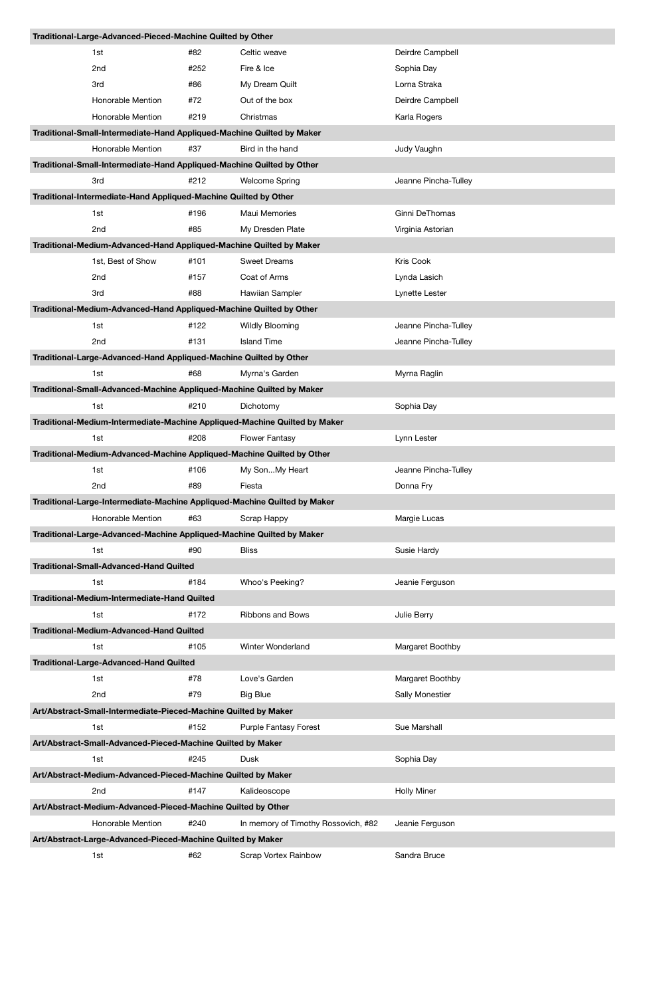| Traditional-Large-Advanced-Pieced-Machine Quilted by Other                                       |      |                                     |                      |  |  |  |  |  |
|--------------------------------------------------------------------------------------------------|------|-------------------------------------|----------------------|--|--|--|--|--|
| 1st                                                                                              | #82  | Celtic weave                        | Deirdre Campbell     |  |  |  |  |  |
| 2 <sub>nd</sub>                                                                                  | #252 | Fire & Ice                          | Sophia Day           |  |  |  |  |  |
| 3rd                                                                                              | #86  | My Dream Quilt                      | Lorna Straka         |  |  |  |  |  |
| Honorable Mention                                                                                | #72  | Out of the box                      | Deirdre Campbell     |  |  |  |  |  |
| Honorable Mention                                                                                | #219 | Christmas                           | Karla Rogers         |  |  |  |  |  |
| Traditional-Small-Intermediate-Hand Appliqued-Machine Quilted by Maker                           |      |                                     |                      |  |  |  |  |  |
| Honorable Mention                                                                                | #37  | Bird in the hand                    | Judy Vaughn          |  |  |  |  |  |
| Traditional-Small-Intermediate-Hand Appliqued-Machine Quilted by Other                           |      |                                     |                      |  |  |  |  |  |
| 3rd                                                                                              | #212 | <b>Welcome Spring</b>               | Jeanne Pincha-Tulley |  |  |  |  |  |
| Traditional-Intermediate-Hand Appliqued-Machine Quilted by Other                                 |      |                                     |                      |  |  |  |  |  |
| 1st                                                                                              | #196 | Maui Memories                       | Ginni DeThomas       |  |  |  |  |  |
| 2nd                                                                                              | #85  | My Dresden Plate                    | Virginia Astorian    |  |  |  |  |  |
| Traditional-Medium-Advanced-Hand Appliqued-Machine Quilted by Maker                              |      |                                     |                      |  |  |  |  |  |
| 1st, Best of Show                                                                                | #101 | <b>Sweet Dreams</b>                 | Kris Cook            |  |  |  |  |  |
| 2nd                                                                                              | #157 | Coat of Arms                        | Lynda Lasich         |  |  |  |  |  |
| 3rd                                                                                              | #88  | Hawiian Sampler                     | Lynette Lester       |  |  |  |  |  |
| Traditional-Medium-Advanced-Hand Appliqued-Machine Quilted by Other                              |      |                                     |                      |  |  |  |  |  |
| 1st                                                                                              | #122 | <b>Wildly Blooming</b>              | Jeanne Pincha-Tulley |  |  |  |  |  |
| 2nd                                                                                              | #131 | <b>Island Time</b>                  | Jeanne Pincha-Tulley |  |  |  |  |  |
| Traditional-Large-Advanced-Hand Appliqued-Machine Quilted by Other                               |      |                                     |                      |  |  |  |  |  |
| 1st                                                                                              | #68  | Myrna's Garden                      | Myrna Raglin         |  |  |  |  |  |
| Traditional-Small-Advanced-Machine Appliqued-Machine Quilted by Maker                            |      |                                     |                      |  |  |  |  |  |
| 1st                                                                                              | #210 | Dichotomy                           | Sophia Day           |  |  |  |  |  |
| Traditional-Medium-Intermediate-Machine Appliqued-Machine Quilted by Maker                       |      |                                     |                      |  |  |  |  |  |
| 1st                                                                                              | #208 | <b>Flower Fantasy</b>               | Lynn Lester          |  |  |  |  |  |
| Traditional-Medium-Advanced-Machine Appliqued-Machine Quilted by Other                           |      |                                     |                      |  |  |  |  |  |
| 1st                                                                                              | #106 | My SonMy Heart                      | Jeanne Pincha-Tulley |  |  |  |  |  |
| 2nd                                                                                              | #89  | Fiesta                              | Donna Fry            |  |  |  |  |  |
| Traditional-Large-Intermediate-Machine Appliqued-Machine Quilted by Maker                        |      |                                     |                      |  |  |  |  |  |
| Honorable Mention                                                                                | #63  | Scrap Happy                         | Margie Lucas         |  |  |  |  |  |
| Traditional-Large-Advanced-Machine Appliqued-Machine Quilted by Maker                            |      |                                     |                      |  |  |  |  |  |
| 1st                                                                                              | #90  | <b>Bliss</b>                        | Susie Hardy          |  |  |  |  |  |
| <b>Traditional-Small-Advanced-Hand Quilted</b>                                                   |      |                                     |                      |  |  |  |  |  |
| 1st                                                                                              | #184 | Whoo's Peeking?                     | Jeanie Ferguson      |  |  |  |  |  |
| Traditional-Medium-Intermediate-Hand Quilted                                                     |      |                                     |                      |  |  |  |  |  |
| 1st                                                                                              | #172 | <b>Ribbons and Bows</b>             | Julie Berry          |  |  |  |  |  |
| <b>Traditional-Medium-Advanced-Hand Quilted</b>                                                  |      |                                     |                      |  |  |  |  |  |
| 1st                                                                                              | #105 | Winter Wonderland                   | Margaret Boothby     |  |  |  |  |  |
| <b>Traditional-Large-Advanced-Hand Quilted</b>                                                   |      |                                     |                      |  |  |  |  |  |
| 1st                                                                                              | #78  | Love's Garden                       | Margaret Boothby     |  |  |  |  |  |
| 2nd                                                                                              | #79  | <b>Big Blue</b>                     | Sally Monestier      |  |  |  |  |  |
| Art/Abstract-Small-Intermediate-Pieced-Machine Quilted by Maker                                  |      |                                     |                      |  |  |  |  |  |
| 1st                                                                                              | #152 | <b>Purple Fantasy Forest</b>        | Sue Marshall         |  |  |  |  |  |
|                                                                                                  |      |                                     |                      |  |  |  |  |  |
| Art/Abstract-Small-Advanced-Pieced-Machine Quilted by Maker<br>#245<br>Dusk<br>Sophia Day<br>1st |      |                                     |                      |  |  |  |  |  |
| Art/Abstract-Medium-Advanced-Pieced-Machine Quilted by Maker                                     |      |                                     |                      |  |  |  |  |  |
| 2nd                                                                                              | #147 | Kalideoscope                        | <b>Holly Miner</b>   |  |  |  |  |  |
| Art/Abstract-Medium-Advanced-Pieced-Machine Quilted by Other                                     |      |                                     |                      |  |  |  |  |  |
| Honorable Mention                                                                                | #240 | In memory of Timothy Rossovich, #82 | Jeanie Ferguson      |  |  |  |  |  |
| Art/Abstract-Large-Advanced-Pieced-Machine Quilted by Maker                                      |      |                                     |                      |  |  |  |  |  |
| 1st                                                                                              | #62  | <b>Scrap Vortex Rainbow</b>         | Sandra Bruce         |  |  |  |  |  |
|                                                                                                  |      |                                     |                      |  |  |  |  |  |